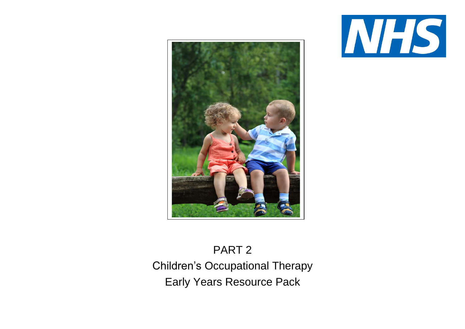



# PART 2 Children's Occupational Therapy Early Years Resource Pack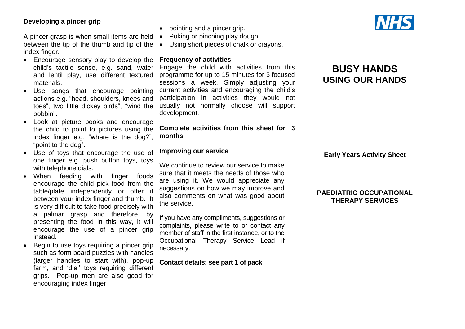#### **Developing a pincer grip**

A pincer grasp is when small items are held • between the tip of the thumb and tip of the  $\bullet$ index finger.

- Encourage sensory play to develop the **Frequency of activities** child's tactile sense, e.g. sand, water and lentil play, use different textured materials.
- Use songs that encourage pointing actions e.g. "head, shoulders, knees and toes", two little dickey birds", "wind the bobbin".
- Look at picture books and encourage the child to point to pictures using the index finger e.g. "where is the dog?", "point to the dog".
- Use of toys that encourage the use of one finger e.g. push button toys, toys with telephone dials.
- When feeding with finger foods encourage the child pick food from the table/plate independently or offer it between your index finger and thumb. It is very difficult to take food precisely with a palmar grasp and therefore, by presenting the food in this way, it will encourage the use of a pincer grip instead.
- Begin to use toys requiring a pincer grip such as form board puzzles with handles (larger handles to start with), pop-up farm, and 'dial' toys requiring different grips. Pop-up men are also good for encouraging index finger
- pointing and a pincer grip.
- Poking or pinching play dough.

Using short pieces of chalk or crayons.

Engage the child with activities from this programme for up to 15 minutes for 3 focused sessions a week. Simply adjusting your current activities and encouraging the child's participation in activities they would not usually not normally choose will support development.

#### **Complete activities from this sheet for 3 months**

#### **Improving our service**

We continue to review our service to make sure that it meets the needs of those who are using it. We would appreciate any suggestions on how we may improve and also comments on what was good about the service.

If you have any compliments, suggestions or complaints, please write to or contact any member of staff in the first instance, or to the Occupational Therapy Service Lead if necessary.

**Contact details: see part 1 of pack**



## **BUSY HANDS USING OUR HANDS**

**Early Years Activity Sheet**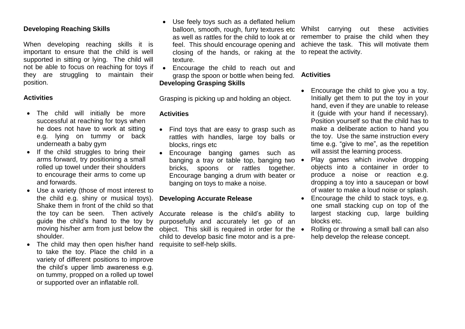#### **Developing Reaching Skills**

When developing reaching skills it is important to ensure that the child is well supported in sitting or lying. The child will not be able to focus on reaching for toys if they are struggling to maintain their position.

#### **Activities**

- The child will initially be more successful at reaching for toys when he does not have to work at sitting e.g. lying on tummy or back underneath a baby gym
- If the child struggles to bring their arms forward, try positioning a small rolled up towel under their shoulders to encourage their arms to come up and forwards.
- Use a variety (those of most interest to the child e.g. shiny or musical toys). Shake them in front of the child so that the toy can be seen. Then actively guide the child's hand to the toy by moving his/her arm from just below the shoulder.
- The child may then open his/her hand to take the toy. Place the child in a variety of different positions to improve the child's upper limb awareness e.g. on tummy, propped on a rolled up towel or supported over an inflatable roll.
- Use feely toys such as a deflated helium balloon, smooth, rough, furry textures etc as well as rattles for the child to look at or feel. This should encourage opening and closing of the hands, or raking at the to repeat the activity. texture.
- Encourage the child to reach out and grasp the spoon or bottle when being fed. **Developing Grasping Skills**

Grasping is picking up and holding an object.

#### **Activities**

- Find toys that are easy to grasp such as rattles with handles, large toy balls or blocks, rings etc
- Encourage banging games such as banging a tray or table top, banging two  $\bullet$ bricks, spoons or rattles together. Encourage banging a drum with beater or banging on toys to make a noise.

#### **Developing Accurate Release**

Accurate release is the child's ability to purposefully and accurately let go of an object. This skill is required in order for the  $\bullet$ child to develop basic fine motor and is a prerequisite to self-help skills.

Whilst carrying out these activities remember to praise the child when they achieve the task. This will motivate them

#### **Activities**

- Encourage the child to give you a toy. Initially get them to put the toy in your hand, even if they are unable to release it (guide with your hand if necessary). Position yourself so that the child has to make a deliberate action to hand you the toy. Use the same instruction every time e.g. "give to me", as the repetition will assist the learning process.
- Play games which involve dropping objects into a container in order to produce a noise or reaction e.g. dropping a toy into a saucepan or bowl of water to make a loud noise or splash.
- Encourage the child to stack toys, e.g. one small stacking cup on top of the largest stacking cup, large building blocks etc.
- Rolling or throwing a small ball can also help develop the release concept.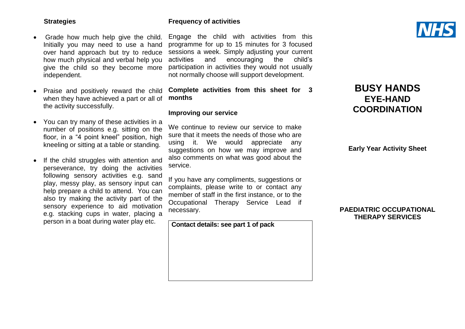#### **Strategies**

- Grade how much help give the child. Initially you may need to use a hand over hand approach but try to reduce how much physical and verbal help you give the child so they become more independent.
- Praise and positively reward the child when they have achieved a part or all of the activity successfully.
- You can try many of these activities in a number of positions e.g. sitting on the floor, in a "4 point kneel" position, high kneeling or sitting at a table or standing.
- If the child struggles with attention and perseverance, try doing the activities following sensory activities e.g. sand play, messy play, as sensory input can help prepare a child to attend. You can also try making the activity part of the sensory experience to aid motivation e.g. stacking cups in water, placing a person in a boat during water play etc.

#### **Frequency of activities**

Engage the child with activities from this programme for up to 15 minutes for 3 focused sessions a week. Simply adjusting your current activities and encouraging the child's participation in activities they would not usually not normally choose will support development.

#### **Complete activities from this sheet for 3 months**

#### **Improving our service**

We continue to review our service to make sure that it meets the needs of those who are using it. We would appreciate any suggestions on how we may improve and also comments on what was good about the service.

If you have any compliments, suggestions or complaints, please write to or contact any member of staff in the first instance, or to the Occupational Therapy Service Lead if necessary.

**Contact details: see part 1 of pack**



## **BUSY HANDS EYE-HAND COORDINATION**

**Early Year Activity Sheet**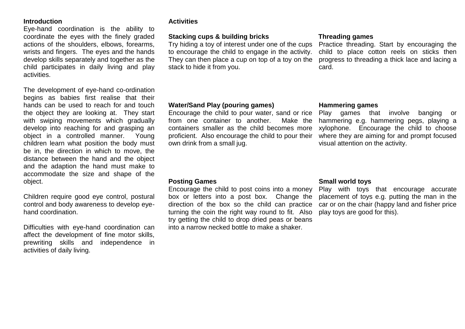Eye-hand coordination is the ability to coordinate the eyes with the finely graded actions of the shoulders, elbows, forearms, wrists and fingers. The eyes and the hands develop skills separately and together as the child participates in daily living and play activities.

The development of eye-hand co-ordination begins as babies first realise that their hands can be used to reach for and touch the object they are looking at. They start with swiping movements which gradually develop into reaching for and grasping an object in a controlled manner. Young children learn what position the body must be in, the direction in which to move, the distance between the hand and the object and the adaption the hand must make to accommodate the size and shape of the object.

Children require good eye control, postural control and body awareness to develop eyehand coordination.

Difficulties with eye-hand coordination can affect the development of fine motor skills, prewriting skills and independence in activities of daily living.

#### **Activities**

#### **Stacking cups & building bricks**

Try hiding a toy of interest under one of the cups Practice threading. Start by encouraging the to encourage the child to engage in the activity. They can then place a cup on top of a toy on the progress to threading a thick lace and lacing a stack to hide it from you.

#### **Threading games**

child to place cotton reels on sticks then card.

#### **Water/Sand Play (pouring games)**

Encourage the child to pour water, sand or rice Play games that involve banging or from one container to another. containers smaller as the child becomes more xylophone. Encourage the child to choose proficient. Also encourage the child to pour their where they are aiming for and prompt focused own drink from a small jug.

#### **Hammering games**

Make the hammering e.g. hammering pegs, playing a visual attention on the activity.

#### **Posting Games**

Encourage the child to post coins into a money box or letters into a post box. Change the direction of the box so the child can practice turning the coin the right way round to fit. Also try getting the child to drop dried peas or beans into a narrow necked bottle to make a shaker.

#### **Small world toys**

Play with toys that encourage accurate placement of toys e.g. putting the man in the car or on the chair (happy land and fisher price play toys are good for this).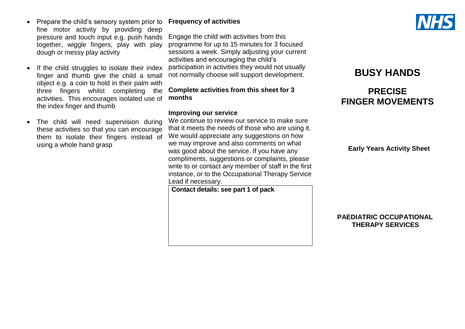- Prepare the child's sensory system prior to fine motor activity by providing deep pressure and touch input e.g. push hands together, wiggle fingers, play with play dough or messy play activity
- If the child struggles to isolate their index finger and thumb give the child a small object e.g. a coin to hold in their palm with three fingers whilst completing the activities. This encourages isolated use of the index finger and thumb
- The child will need supervision during these activities so that you can encourage them to isolate their fingers instead of using a whole hand grasp

#### **Frequency of activities**

Engage the child with activities from this programme for up to 15 minutes for 3 focused sessions a week. Simply adjusting your current activities and encouraging the child's participation in activities they would not usually not normally choose will support development.

#### **Complete activities from this sheet for 3 months**

#### **Improving our service**

We continue to review our service to make sure that it meets the needs of those who are using it. We would appreciate any suggestions on how we may improve and also comments on what was good about the service. If you have any compliments, suggestions or complaints, please write to or contact any member of staff in the first instance, or to the Occupational Therapy Service Lead if necessary.

**Contact details: see part 1 of pack**



## **BUSY HANDS**

## **PRECISE FINGER MOVEMENTS**

 **Early Years Activity Sheet**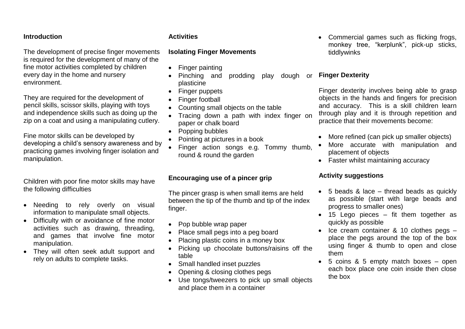The development of precise finger movements is required for the development of many of the fine motor activities completed by children every day in the home and nursery environment.

They are required for the development of pencil skills, scissor skills, playing with toys and independence skills such as doing up the zip on a coat and using a manipulating cutlery.

Fine motor skills can be developed by developing a child's sensory awareness and by practicing games involving finger isolation and manipulation.

Children with poor fine motor skills may have the following difficulties

- Needing to rely overly on visual information to manipulate small objects.
- Difficulty with or avoidance of fine motor activities such as drawing, threading, and games that involve fine motor manipulation.
- They will often seek adult support and rely on adults to complete tasks.

#### **Activities**

#### **Isolating Finger Movements**

- Finger painting
- Pinching and prodding play dough or **Finger Dexterity** plasticine
- Finger puppets
- Finger football
- Counting small objects on the table
- Tracing down a path with index finger on paper or chalk board
- Popping bubbles
- Pointing at pictures in a book
- Finger action songs e.g. Tommy thumb, round & round the garden

### **Encouraging use of a pincer grip**

The pincer grasp is when small items are held between the tip of the thumb and tip of the index finger.

- Pop bubble wrap paper
- Place small pegs into a peg board
- Placing plastic coins in a money box
- Picking up chocolate buttons/raisins off the table
- Small handled inset puzzles
- Opening & closing clothes pegs
- Use tongs/tweezers to pick up small objects and place them in a container

 Commercial games such as flicking frogs, monkey tree, "kerplunk", pick-up sticks, tiddlywinks

Finger dexterity involves being able to grasp objects in the hands and fingers for precision and accuracy. This is a skill children learn through play and it is through repetition and practice that their movements become:

- More refined (can pick up smaller objects)
- More accurate with manipulation and placement of objects
- Faster whilst maintaining accuracy

#### **Activity suggestions**

- 5 beads & lace thread beads as quickly as possible (start with large beads and progress to smaller ones)
- $\bullet$  15 Lego pieces fit them together as quickly as possible
- $\bullet$  Ice cream container & 10 clothes pegs  $$ place the pegs around the top of the box using finger & thumb to open and close them
- 5 coins & 5 empty match boxes open each box place one coin inside then close the box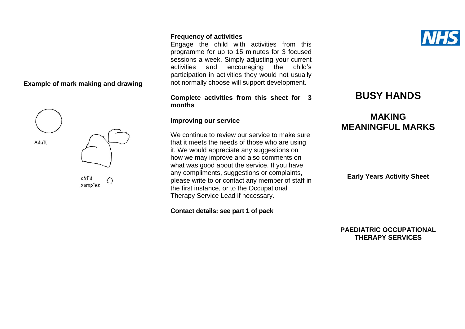#### **Example of mark making and drawing**



#### **Frequency of activities**

Engage the child with activities from this programme for up to 15 minutes for 3 focused sessions a week. Simply adjusting your current activities and encouraging the child's participation in activities they would not usually not normally choose will support development.

#### **Complete activities from this sheet for 3 months**

#### **Improving our service**

We continue to review our service to make sure that it meets the needs of those who are using it. We would appreciate any suggestions on how we may improve and also comments on what was good about the service. If you have any compliments, suggestions or complaints, please write to or contact any member of staff in the first instance, or to the Occupational Therapy Service Lead if necessary.

**Contact details: see part 1 of pack**



## **MAKING MEANINGFUL MARKS**

**Early Years Activity Sheet**

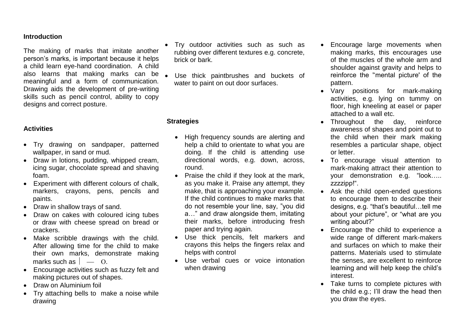The making of marks that imitate another person's marks, is important because it helps a child learn eye-hand coordination. A child also learns that making marks can be . meaningful and a form of communication. Drawing aids the development of pre-writing skills such as pencil control, ability to copy designs and correct posture.

#### **Activities**

- Try drawing on sandpaper, patterned wallpaper, in sand or mud.
- Draw in lotions, pudding, whipped cream, icing sugar, chocolate spread and shaving foam.
- Experiment with different colours of chalk, markers, crayons, pens, pencils and paints.
- Draw in shallow trays of sand.
- Draw on cakes with coloured icing tubes or draw with cheese spread on bread or crackers.
- Make scribble drawings with the child. After allowing time for the child to make their own marks, demonstrate making marks such as  $\vert - \vert 0 \vert$
- Encourage activities such as fuzzy felt and making pictures out of shapes.
- Draw on Aluminium foil
- Try attaching bells to make a noise while drawing
- Try outdoor activities such as such as rubbing over different textures e.g. concrete, brick or bark.
- Use thick paintbrushes and buckets of water to paint on out door surfaces.

#### **Strategies**

- High frequency sounds are alerting and help a child to orientate to what you are doing. If the child is attending use directional words, e.g. down, across, round.
- Praise the child if they look at the mark, as you make it. Praise any attempt, they make, that is approaching your example. If the child continues to make marks that do not resemble your line, say, "you did a…" and draw alongside them, imitating their marks, before introducing fresh paper and trying again.
- Use thick pencils, felt markers and crayons this helps the fingers relax and helps with control
- Use verbal cues or voice intonation when drawing
- Encourage large movements when making marks, this encourages use of the muscles of the whole arm and shoulder against gravity and helps to reinforce the ''mental picture' of the pattern.
- Vary positions for mark-making activities, e.g. lying on tummy on floor, high kneeling at easel or paper attached to a wall etc.
- Throughout the day, reinforce awareness of shapes and point out to the child when their mark making resembles a particular shape, object or letter.
- To encourage visual attention to mark-making attract their attention to your demonstration e.g. "look….. zzzzipp!".
- Ask the child open-ended questions to encourage them to describe their designs, e.g. "that's beautiful…tell me about your picture", or "what are you writing about?"
- Encourage the child to experience a wide range of different mark-makers and surfaces on which to make their patterns. Materials used to stimulate the senses, are excellent to reinforce learning and will help keep the child's interest.
- Take turns to complete pictures with the child e.g.; I'll draw the head then you draw the eyes.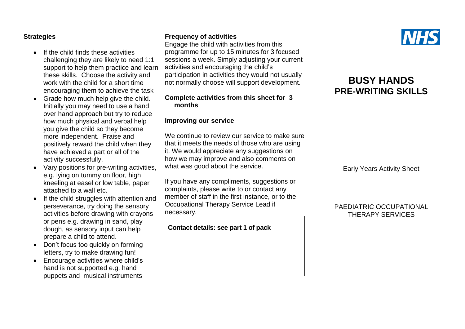#### **Strategies**

- $\bullet$  If the child finds these activities challenging they are likely to need 1:1 support to help them practice and learn these skills. Choose the activity and work with the child for a short time encouraging them to achieve the task
- Grade how much help give the child. Initially you may need to use a hand over hand approach but try to reduce how much physical and verbal help you give the child so they become more independent. Praise and positively reward the child when they have achieved a part or all of the activity successfully.
- Vary positions for pre-writing activities, e.g. lying on tummy on floor, high kneeling at easel or low table, paper attached to a wall etc.
- If the child struggles with attention and perseverance, try doing the sensory activities before drawing with crayons or pens e.g. drawing in sand, play dough, as sensory input can help prepare a child to attend.
- Don't focus too quickly on forming letters, try to make drawing fun!
- Encourage activities where child's hand is not supported e.g. hand puppets and musical instruments

#### **Frequency of activities**

Engage the child with activities from this programme for up to 15 minutes for 3 focused sessions a week. Simply adjusting your current activities and encouraging the child's participation in activities they would not usually not normally choose will support development.

#### **Complete activities from this sheet for 3 months**

#### **Improving our service**

We continue to review our service to make sure that it meets the needs of those who are using it. We would appreciate any suggestions on how we may improve and also comments on what was good about the service.

If you have any compliments, suggestions or complaints, please write to or contact any member of staff in the first instance, or to the Occupational Therapy Service Lead if necessary.

**Contact details: see part 1 of pack**



## **BUSY HANDS PRE-WRITING SKILLS**

Early Years Activity Sheet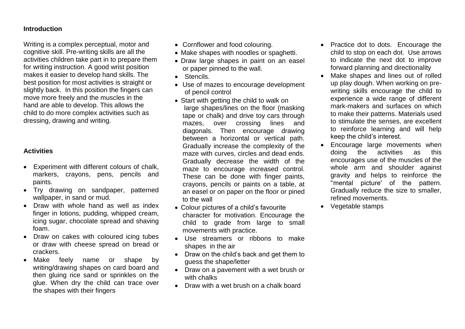Writing is a complex perceptual, motor and cognitive skill. Pre-writing skills are all the activities children take part in to prepare them for writing instruction. A good wrist position makes it easier to develop hand skills. The best position for most activities is straight or slightly back. In this position the fingers can move more freely and the muscles in the hand are able to develop. This allows the child to do more complex activities such as dressing, drawing and writing.

#### **Activities**

- Experiment with different colours of chalk, markers, crayons, pens, pencils and paints.
- Try drawing on sandpaper, patterned wallpaper, in sand or mud.
- Draw with whole hand as well as index finger in lotions, pudding, whipped cream, icing sugar, chocolate spread and shaving foam.
- Draw on cakes with coloured icing tubes or draw with cheese spread on bread or crackers.
- Make feely name or shape by writing/drawing shapes on card board and then gluing rice sand or sprinkles on the glue. When dry the child can trace over the shapes with their fingers
- Cornflower and food colouring.
- Make shapes with noodles or spaghetti.
- Draw large shapes in paint on an easel or paper pinned to the wall.
- **Stencils.**
- Use of mazes to encourage development of pencil control
- Start with getting the child to walk on large shapes/lines on the floor (masking tape or chalk) and drive toy cars through mazes, over crossing lines and diagonals. Then encourage drawing between a horizontal or vertical path. Gradually increase the complexity of the maze with curves, circles and dead ends. Gradually decrease the width of the maze to encourage increased control. These can be done with finger paints, crayons, pencils or paints on a table, at an easel or on paper on the floor or pined to the wall
- Colour pictures of a child's favourite character for motivation. Encourage the child to grade from large to small movements with practice.
- Use streamers or ribbons to make shapes in the air
- Draw on the child's back and get them to guess the shape/letter
- Draw on a pavement with a wet brush or with chalks
- Draw with a wet brush on a chalk board
- Practice dot to dots. Encourage the child to stop on each dot. Use arrows to indicate the next dot to improve forward planning and directionality
- Make shapes and lines out of rolled up play dough. When working on prewriting skills encourage the child to experience a wide range of different mark-makers and surfaces on which to make their patterns. Materials used to stimulate the senses, are excellent to reinforce learning and will help keep the child's interest.
- Encourage large movements when doing the activities as this encourages use of the muscles of the whole arm and shoulder against gravity and helps to reinforce the ''mental picture' of the pattern. Gradually reduce the size to smaller, refined movements.
- Vegetable stamps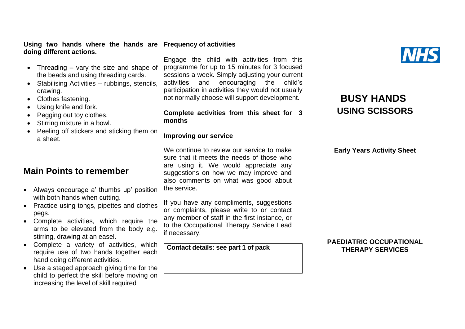**Using two hands where the hands are Frequency of activities doing different actions.**

- Threading  $-$  vary the size and shape of the beads and using threading cards.
- Stabilising Activities rubbings, stencils, drawing.
- Clothes fastening.
- Using knife and fork.
- Pegging out toy clothes.
- Stirring mixture in a bowl.
- Peeling off stickers and sticking them on a sheet.

## **Main Points to remember**

- Always encourage a' thumbs up' position with both hands when cutting.
- Practice using tongs, pipettes and clothes pegs.
- Complete activities, which require the arms to be elevated from the body e.g. stirring, drawing at an easel.
- Complete a variety of activities, which require use of two hands together each hand doing different activities.
- Use a staged approach giving time for the child to perfect the skill before moving on increasing the level of skill required

Engage the child with activities from this programme for up to 15 minutes for 3 focused sessions a week. Simply adjusting your current activities and encouraging the child's participation in activities they would not usually not normally choose will support development.

#### **Complete activities from this sheet for 3 months**

#### **Improving our service**

We continue to review our service to make sure that it meets the needs of those who are using it. We would appreciate any suggestions on how we may improve and also comments on what was good about the service.

If you have any compliments, suggestions or complaints, please write to or contact any member of staff in the first instance, or to the Occupational Therapy Service Lead if necessary.

**Contact details: see part 1 of pack**

## **BUSY HANDS USING SCISSORS**

**Early Years Activity Sheet**

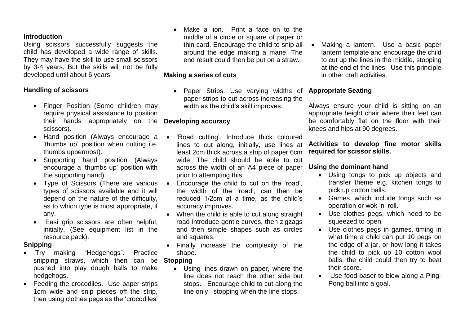Using scissors successfully suggests the child has developed a wide range of skills. They may have the skill to use small scissors by 3-4 years. But the skills will not be fully developed until about 6 years

#### **Handling of scissors**

- Finger Position (Some children may require physical assistance to position their hands appropriately on the **Developing accuracy** scissors).
- Hand position (Always encourage a 'thumbs up' position when cutting i.e. thumbs uppermost).
- Supporting hand position (Always encourage a 'thumbs up' position with the supporting hand).
- Type of Scissors (There are various types of scissors available and it will depend on the nature of the difficulty, as to which type is most appropriate, if any.
- Easi grip scissors are often helpful, initially. (See equipment list in the resource pack).

#### **Snipping**

- Try making "Hedgehogs". Practice snipping straws, which then can be **Stopping** pushed into play dough balls to make hedgehogs.
- Feeding the crocodiles. Use paper strips 1cm wide and snip pieces off the strip, then using clothes pegs as the 'crocodiles'

 Make a lion. Print a face on to the middle of a circle or square of paper or thin card. Encourage the child to snip all around the edge making a mane. The end result could then be put on a straw.

#### **Making a series of cuts**

 Paper Strips. Use varying widths of paper strips to cut across increasing the width as the child's skill improves.

- 'Road cutting'. Introduce thick coloured lines to cut along, initially, use lines at least 2cm thick across a strip of paper 6cm wide. The child should be able to cut across the width of an A4 piece of paper prior to attempting this.
- Encourage the child to cut on the 'road', the width of the 'road', can then be reduced 1/2cm at a time, as the child's accuracy improves.
- When the child is able to cut along straight road introduce gentle curves, then zigzags and then simple shapes such as circles and squares.
- Finally increase the complexity of the shape.

 Using lines drawn on paper, where the line does not reach the other side but stops. Encourage child to cut along the line only stopping when the line stops.

• Making a lantern. Use a basic paper lantern template and encourage the child to cut up the lines in the middle, stopping at the end of the lines. Use this principle in other craft activities.

#### **Appropriate Seating**

Always ensure your child is sitting on an appropriate height chair where their feet can be comfortably flat on the floor with their knees and hips at 90 degrees.

#### **Activities to develop fine motor skills required for scissor skills.**

#### **Using the dominant hand**

- Using tongs to pick up objects and transfer theme e.g. kitchen tongs to pick up cotton balls.
- Games, which include tongs such as operation or wok 'n' roll.
- Use clothes pegs, which need to be squeezed to open.
- Use clothes pegs in games, timing in what time a child can put 10 pegs on the edge of a jar, or how long it takes the child to pick up 10 cotton wool balls, the child could then try to beat their score.
- Use food baser to blow along a Ping-Pong ball into a goal.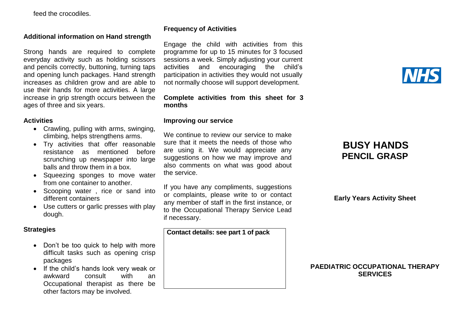feed the crocodiles.

#### **Additional information on Hand strength**

Strong hands are required to complete everyday activity such as holding scissors and pencils correctly, buttoning, turning taps and opening lunch packages. Hand strength increases as children grow and are able to use their hands for more activities. A large increase in grip strength occurs between the ages of three and six years.

#### **Activities**

- Crawling, pulling with arms, swinging, climbing, helps strengthens arms.
- Try activities that offer reasonable resistance as mentioned before scrunching up newspaper into large balls and throw them in a box.
- Squeezing sponges to move water from one container to another.
- Scooping water, rice or sand into different containers
- Use cutters or garlic presses with play dough.

#### **Strategies**

- Don't be too quick to help with more difficult tasks such as opening crisp packages
- If the child's hands look very weak or awkward consult with an Occupational therapist as there be other factors may be involved.

#### **Frequency of Activities**

Engage the child with activities from this programme for up to 15 minutes for 3 focused sessions a week. Simply adjusting your current activities and encouraging the child's participation in activities they would not usually not normally choose will support development.

#### **Complete activities from this sheet for 3 months**

#### **Improving our service**

We continue to review our service to make sure that it meets the needs of those who are using it. We would appreciate any suggestions on how we may improve and also comments on what was good about the service.

If you have any compliments, suggestions or complaints, please write to or contact any member of staff in the first instance, or to the Occupational Therapy Service Lead if necessary.

**Contact details: see part 1 of pack**

## **BUSY HANDS PENCIL GRASP**

**Early Years Activity Sheet**

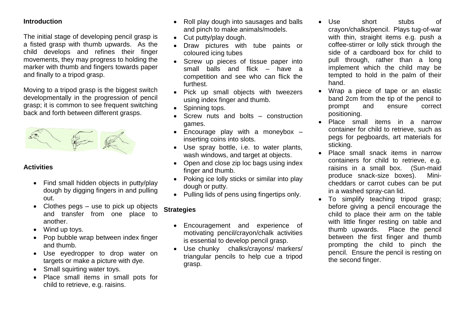The initial stage of developing pencil grasp is a fisted grasp with thumb upwards. As the child develops and refines their finger movements, they may progress to holding the marker with thumb and fingers towards paper and finally to a tripod grasp.

Moving to a tripod grasp is the biggest switch developmentally in the progression of pencil grasp; it is common to see frequent switching back and forth between different grasps.



#### **Activities**

- Find small hidden objects in putty/play dough by digging fingers in and pulling out.
- Clothes pegs use to pick up objects and transfer from one place to another.
- Wind up toys.
- Pop bubble wrap between index finger and thumb.
- Use eyedropper to drop water on targets or make a picture with dye.
- Small squirting water toys.
- Place small items in small pots for child to retrieve, e.g. raisins.
- Roll play dough into sausages and balls and pinch to make animals/models.
- Cut putty/play dough.
- Draw pictures with tube paints or coloured icing tubes
- Screw up pieces of tissue paper into small balls and flick – have a competition and see who can flick the furthest.
- Pick up small objects with tweezers using index finger and thumb.
- Spinning tops.
- Screw nuts and bolts construction games.
- Encourage play with a moneybox inserting coins into slots.
- Use spray bottle, i.e. to water plants, wash windows, and target at objects.
- Open and close zip loc bags using index finger and thumb.
- Poking ice lolly sticks or similar into play dough or putty.
- Pulling lids of pens using fingertips only.

### **Strategies**

- Encouragement and experience of motivating pencil/crayon/chalk activities is essential to develop pencil grasp.
- Use chunky chalks/crayons/ markers/ triangular pencils to help cue a tripod grasp.
- Use short stubs of crayon/chalks/pencil. Plays tug-of-war with thin, straight items e.g. push a coffee-stirrer or lolly stick through the side of a cardboard box for child to pull through, rather than a long implement which the child may be tempted to hold in the palm of their hand.
- Wrap a piece of tape or an elastic band 2cm from the tip of the pencil to prompt and ensure correct positioning.
- Place small items in a narrow container for child to retrieve, such as pegs for pegboards, art materials for sticking.
- Place small snack items in narrow containers for child to retrieve, e.g. raisins in a small box. (Sun-maid produce snack-size boxes). Minicheddars or carrot cubes can be put in a washed spray-can lid.
- To simplify teaching tripod grasp; before giving a pencil encourage the child to place their arm on the table with little finger resting on table and thumb upwards. Place the pencil between the first finger and thumb prompting the child to pinch the pencil. Ensure the pencil is resting on the second finger.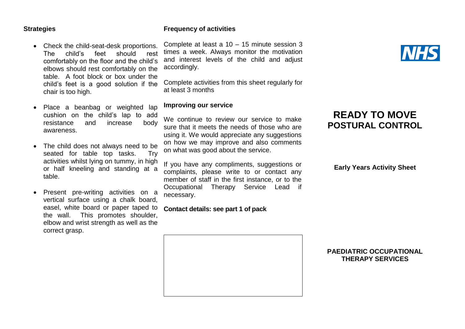#### **Strategies**

#### **Frequency of activities**

• Check the child-seat-desk proportions. The child's feet should rest comfortably on the floor and the child's elbows should rest comfortably on the table. A foot block or box under the child's feet is a good solution if the chair is too high.

- Place a beanbag or weighted lap cushion on the child's lap to add resistance and increase body awareness.
- The child does not always need to be seated for table top tasks. Try activities whilst lying on tummy, in high or half kneeling and standing at a table.
- Present pre-writing activities on a vertical surface using a chalk board, easel, white board or paper taped to the wall. This promotes shoulder, elbow and wrist strength as well as the correct grasp.

Complete at least a 10 – 15 minute session 3 times a week. Always monitor the motivation and interest levels of the child and adjust accordingly.

Complete activities from this sheet regularly for at least 3 months

#### **Improving our service**

We continue to review our service to make sure that it meets the needs of those who are using it. We would appreciate any suggestions on how we may improve and also comments on what was good about the service.

If you have any compliments, suggestions or complaints, please write to or contact any member of staff in the first instance, or to the Occupational Therapy Service Lead if necessary.

#### **Contact details: see part 1 of pack**



## **READY TO MOVE POSTURAL CONTROL**

**Early Years Activity Sheet**

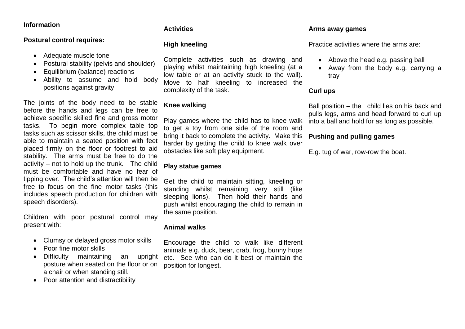#### **Information**

#### **Postural control requires:**

- Adequate muscle tone
- Postural stability (pelvis and shoulder)
- Equilibrium (balance) reactions
- Ability to assume and hold body positions against gravity

The joints of the body need to be stable before the hands and legs can be free to achieve specific skilled fine and gross motor tasks. To begin more complex table top tasks such as scissor skills, the child must be able to maintain a seated position with feet placed firmly on the floor or footrest to aid stability. The arms must be free to do the activity – not to hold up the trunk. The child must be comfortable and have no fear of tipping over. The child's attention will then be free to focus on the fine motor tasks (this includes speech production for children with speech disorders).

Children with poor postural control may present with:

- Clumsy or delayed gross motor skills
- Poor fine motor skills
- Difficulty maintaining an upright posture when seated on the floor or on a chair or when standing still.
- Poor attention and distractibility

#### **Activities**

#### **High kneeling**

Complete activities such as drawing and playing whilst maintaining high kneeling (at a low table or at an activity stuck to the wall). Move to half kneeling to increased the complexity of the task.

### **Knee walking**

Play games where the child has to knee walk to get a toy from one side of the room and bring it back to complete the activity. Make this harder by getting the child to knee walk over obstacles like soft play equipment.

#### **Play statue games**

Get the child to maintain sitting, kneeling or standing whilst remaining very still (like sleeping lions). Then hold their hands and push whilst encouraging the child to remain in the same position.

#### **Animal walks**

Encourage the child to walk like different animals e.g. duck, bear, crab, frog, bunny hops etc. See who can do it best or maintain the position for longest.

#### **Arms away games**

Practice activities where the arms are:

- Above the head e.g. passing ball
- Away from the body e.g. carrying a tray

#### **Curl ups**

Ball position – the child lies on his back and pulls legs, arms and head forward to curl up into a ball and hold for as long as possible.

#### **Pushing and pulling games**

E.g. tug of war, row-row the boat.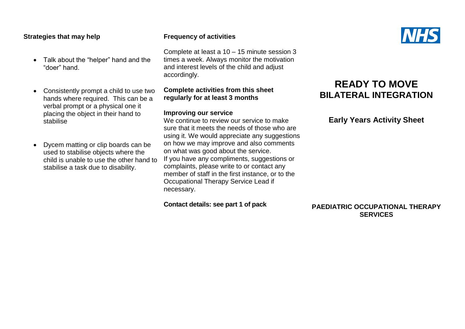#### **Strategies that may help**

- Talk about the "helper" hand and the "doer" hand.
- Consistently prompt a child to use two hands where required. This can be a verbal prompt or a physical one it placing the object in their hand to stabilise
- Dycem matting or clip boards can be used to stabilise objects where the child is unable to use the other hand to stabilise a task due to disability.

#### **Frequency of activities**

Complete at least a 10 – 15 minute session 3 times a week. Always monitor the motivation and interest levels of the child and adjust accordingly.

#### **Complete activities from this sheet regularly for at least 3 months**

#### **Improving our service**

We continue to review our service to make sure that it meets the needs of those who are using it. We would appreciate any suggestions on how we may improve and also comments on what was good about the service. If you have any compliments, suggestions or complaints, please write to or contact any member of staff in the first instance, or to the Occupational Therapy Service Lead if necessary.

**Contact details: see part 1 of pack**

## **READY TO MOVE BILATERAL INTEGRATION**

#### **Early Years Activity Sheet**

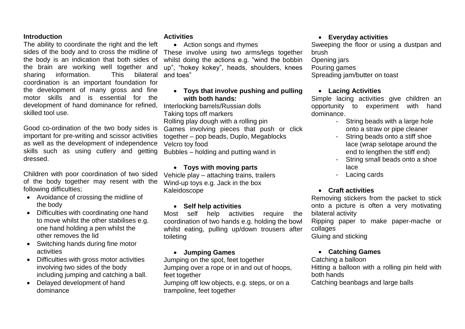The ability to coordinate the right and the left sides of the body and to cross the midline of the body is an indication that both sides of the brain are working well together and sharing information. This coordination is an important foundation for the development of many gross and fine motor skills and is essential for the development of hand dominance for refined, skilled tool use.

Good co-ordination of the two body sides is important for pre-writing and scissor activities as well as the development of independence skills such as using cutlery and getting Bubbles – holding and putting wand in dressed.

Children with poor coordination of two sided of the body together may resent with the following difficulties;

- Avoidance of crossing the midline of the body
- Difficulties with coordinating one hand to move whilst the other stabilises e.g. one hand holding a pen whilst the other removes the lid
- Switching hands during fine motor activities
- Difficulties with gross motor activities involving two sides of the body including jumping and catching a ball.
- Delayed development of hand dominance

#### **Activities**

• Action songs and rhymes These involve using two arms/legs together whilst doing the actions e.g. "wind the bobbin up", "hokey kokey", heads, shoulders, knees bilateral and toes"

#### **Toys that involve pushing and pulling with both hands:**

Interlocking barrels/Russian dolls Taking tops off markers Rolling play dough with a rolling pin Games involving pieces that push or click together – pop beads, Duplo, Megablocks Velcro toy food

#### **Toys with moving parts**

Vehicle play – attaching trains, trailers Wind-up toys e.g. Jack in the box Kaleidoscope

#### **Self help activities**

Most self help activities require the coordination of two hands e.g. holding the bowl whilst eating, pulling up/down trousers after toileting

#### **Jumping Games**

Jumping on the spot, feet together Jumping over a rope or in and out of hoops, feet together

Jumping off low objects, e.g. steps, or on a trampoline, feet together

#### **Everyday activities**

Sweeping the floor or using a dustpan and brush

#### Opening jars

#### Pouring games

Spreading jam/butter on toast

#### **Lacing Activities**

Simple lacing activities give children an opportunity to experiment with hand dominance.

- String beads with a large hole onto a straw or pipe cleaner
- String beads onto a stiff shoe lace (wrap selotape around the end to lengthen the stiff end)
- String small beads onto a shoe lace
- Lacing cards

#### **Craft activities**

Removing stickers from the packet to stick onto a picture is often a very motivating bilateral activity

Ripping paper to make paper-mache or collages

Gluing and sticking

#### **Catching Games**

Catching a balloon

Hitting a balloon with a rolling pin held with both hands

Catching beanbags and large balls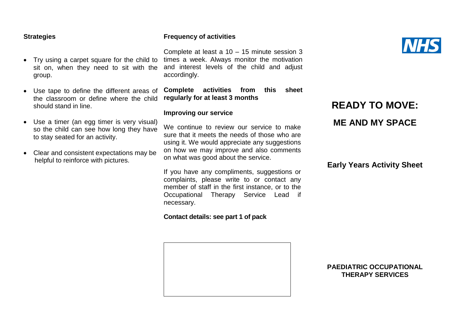#### **Strategies**

- Try using a carpet square for the child to sit on, when they need to sit with the group.
- Use tape to define the different areas of the classroom or define where the child should stand in line.
- Use a timer (an egg timer is very visual) so the child can see how long they have to stay seated for an activity.
- Clear and consistent expectations may be helpful to reinforce with pictures.

#### **Frequency of activities**

Complete at least a 10 – 15 minute session 3 times a week. Always monitor the motivation and interest levels of the child and adjust accordingly.

**Complete activities from this sheet regularly for at least 3 months**

#### **Improving our service**

We continue to review our service to make sure that it meets the needs of those who are using it. We would appreciate any suggestions on how we may improve and also comments on what was good about the service.

If you have any compliments, suggestions or complaints, please write to or contact any member of staff in the first instance, or to the Occupational Therapy Service Lead if necessary.

#### **Contact details: see part 1 of pack**

**READY TO MOVE: ME AND MY SPACE**

#### **Early Years Activity Sheet**



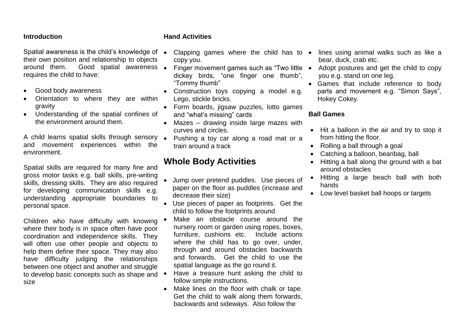Spatial awareness is the child's knowledge of  $\bullet$ their own position and relationship to objects around them. Good spatial awareness . requires the child to have:

- Good body awareness
- Orientation to where they are within gravity
- Understanding of the spatial confines of the environment around them.

A child learns spatial skills through sensory Pushing a toy car along a road mat or a and movement experiences within the environment.

Spatial skills are required for many fine and gross motor tasks e.g. ball skills, pre-writing skills, dressing skills. They are also required for developing communication skills e.g. understanding appropriate boundaries to personal space.

Children who have difficulty with knowing where their body is in space often have poor coordination and independence skills. They will often use other people and objects to help them define their space. They may also have difficulty judging the relationships between one object and another and struggle to develop basic concepts such as shape and  $\bullet$ size

#### **Hand Activities**

- Clapping games where the child has to lines using animal walks such as like a copy you.
- Finger movement games such as "Two little dickey birds, "one finger one thumb", "Tommy thumb"
- Construction toys copying a model e.g. Lego, stickle bricks.
- Form boards, jigsaw puzzles, lotto games and "what's missing" cards
- Mazes drawing inside large mazes with curves and circles.
- train around a track

## **Whole Body Activities**

- Jump over pretend puddles. Use pieces of paper on the floor as puddles (increase and decrease their size)
- Use pieces of paper as footprints. Get the child to follow the footprints around
- Make an obstacle course around the nursery room or garden using ropes, boxes, furniture, cushions etc. Include actions where the child has to go over, under, through and around obstacles backwards and forwards. Get the child to use the spatial language as the go round it.
- Have a treasure hunt asking the child to follow simple instructions.
- Make lines on the floor with chalk or tape. Get the child to walk along them forwards, backwards and sideways. Also follow the
- bear, duck, crab etc.
- Adopt postures and get the child to copy you e.g. stand on one leg.
- Games that include reference to body parts and movement e.g. "Simon Says", Hokey Cokey.

#### **Ball Games**

- Hit a balloon in the air and try to stop it from hitting the floor.
- Rolling a ball through a goal
- Catching a balloon, beanbag, ball
- Hitting a ball along the ground with a bat around obstacles
- Hitting a large beach ball with both hands
- Low level basket ball hoops or targets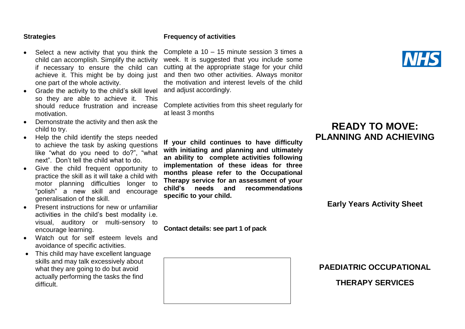#### **Strategies**

- Select a new activity that you think the child can accomplish. Simplify the activity if necessary to ensure the child can achieve it. This might be by doing just one part of the whole activity.
- Grade the activity to the child's skill level so they are able to achieve it. This should reduce frustration and increase motivation.
- Demonstrate the activity and then ask the child to try.
- Help the child identify the steps needed to achieve the task by asking questions like "what do you need to do?", "what next". Don't tell the child what to do.
- Give the child frequent opportunity to practice the skill as it will take a child with motor planning difficulties longer to "polish" a new skill and encourage generalisation of the skill.
- Present instructions for new or unfamiliar activities in the child's best modality i.e. visual, auditory or multi-sensory to encourage learning.
- Watch out for self esteem levels and avoidance of specific activities.
- This child may have excellent language skills and may talk excessively about what they are going to do but avoid actually performing the tasks the find difficult.

#### **Frequency of activities**

Complete a 10 – 15 minute session 3 times a week. It is suggested that you include some cutting at the appropriate stage for your child and then two other activities. Always monitor the motivation and interest levels of the child and adjust accordingly.

Complete activities from this sheet regularly for at least 3 months

**If your child continues to have difficulty with initiating and planning and ultimately an ability to complete activities following implementation of these ideas for three months please refer to the Occupational Therapy service for an assessment of your child's needs and recommendations specific to your child.**

**Contact details: see part 1 of pack**



## **READY TO MOVE: PLANNING AND ACHIEVING**

**Early Years Activity Sheet**

## **PAEDIATRIC OCCUPATIONAL**

**THERAPY SERVICES**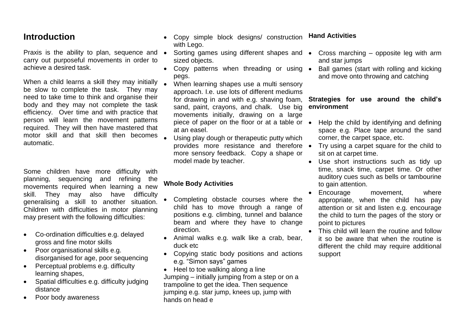Praxis is the ability to plan, sequence and • carry out purposeful movements in order to achieve a desired task.

When a child learns a skill they may initially be slow to complete the task. They may need to take time to think and organise their body and they may not complete the task efficiency. Over time and with practice that person will learn the movement patterns required. They will then have mastered that motor skill and that skill then becomes automatic.

Some children have more difficulty with planning, sequencing and refining the movements required when learning a new skill. They may also have difficulty generalising a skill to another situation. Children with difficulties in motor planning may present with the following difficulties:

- Co-ordination difficulties e.g. delayed gross and fine motor skills
- Poor organisational skills e.g. disorganised for age, poor sequencing
- Perceptual problems e.g. difficulty learning shapes,
- Spatial difficulties e.g. difficulty judging distance
- Poor body awareness
- Copy simple block designs/ construction with Lego. **Hand Activities**
- Sorting games using different shapes and Cross marching opposite leg with arm sized objects.
- Copy patterns when threading or using pegs.
- When learning shapes use a multi sensory approach. I.e. use lots of different mediums for drawing in and with e.g. shaving foam, sand, paint, crayons, and chalk. Use big movements initially, drawing on a large at an easel.
- Using play dough or therapeutic putty which provides more resistance and therefore more sensory feedback. Copy a shape or model made by teacher.

#### **Whole Body Activities**

- Completing obstacle courses where the child has to move through a range of positions e.g. climbing, tunnel and balance beam and where they have to change direction.
- Animal walks e.g. walk like a crab, bear, duck etc
- Copying static body positions and actions e.g. "Simon says" games
- Heel to toe walking along a line Jumping – initially jumping from a step or on a trampoline to get the idea. Then sequence jumping e.g. star jump, knees up, jump with hands on head e
- and star jumps
- Ball games (start with rolling and kicking and move onto throwing and catching

#### **Strategies for use around the child's environment**

- piece of paper on the floor or at a table or Help the child by identifying and defining space e.g. Place tape around the sand corner, the carpet space, etc.
	- Try using a carpet square for the child to sit on at carpet time.
	- Use short instructions such as tidy up time, snack time, carpet time. Or other auditory cues such as bells or tambourine to gain attention.
	- Encourage movement, where appropriate, when the child has pay attention or sit and listen e.g. encourage the child to turn the pages of the story or point to pictures
	- This child will learn the routine and follow it so be aware that when the routine is different the child may require additional support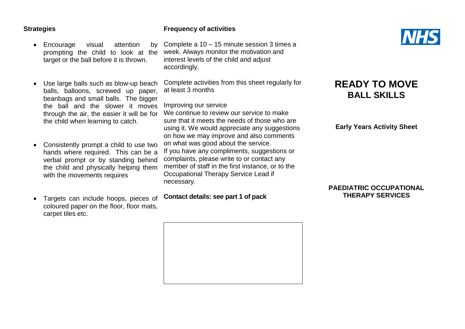#### **Strategies**

- Encourage visual attention by prompting the child to look at the target or the ball before it is thrown.
- Use large balls such as blow-up beach balls, balloons, screwed up paper, beanbags and small balls. The bigger the ball and the slower it moves through the air, the easier it will be for the child when learning to catch.
- Consistently prompt a child to use two hands where required. This can be a verbal prompt or by standing behind the child and physically helping them with the movements requires
- Targets can include hoops, pieces of coloured paper on the floor, floor mats, carpet tiles etc.

#### **Frequency of activities**

Complete a 10 – 15 minute session 3 times a week. Always monitor the motivation and interest levels of the child and adjust accordingly.

Complete activities from this sheet regularly for at least 3 months

Improving our service

We continue to review our service to make sure that it meets the needs of those who are using it. We would appreciate any suggestions on how we may improve and also comments on what was good about the service. If you have any compliments, suggestions or complaints, please write to or contact any member of staff in the first instance, or to the Occupational Therapy Service Lead if necessary.

**Contact details: see part 1 of pack**





## **READY TO MOVE BALL SKILLS**

**Early Years Activity Sheet**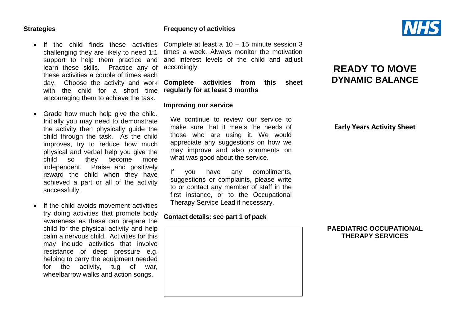#### **Strategies**

**Frequency of activities**

• If the child finds these activities challenging they are likely to need 1:1 support to help them practice and learn these skills. Practice any of these activities a couple of times each with the child for a short time encouraging them to achieve the task.

- Grade how much help give the child. Initially you may need to demonstrate the activity then physically guide the child through the task. As the child improves, try to reduce how much physical and verbal help you give the child so they become more independent. Praise and positively reward the child when they have achieved a part or all of the activity successfully.
- If the child avoids movement activities try doing activities that promote body awareness as these can prepare the child for the physical activity and help calm a nervous child. Activities for this may include activities that involve resistance or deep pressure e.g. helping to carry the equipment needed for the activity, tug of war, wheelbarrow walks and action songs.

Complete at least a 10 – 15 minute session 3 times a week. Always monitor the motivation and interest levels of the child and adjust accordingly.

day. Choose the activity and work **Complete activities from this sheet regularly for at least 3 months**

#### **Improving our service**

We continue to review our service to make sure that it meets the needs of those who are using it. We would appreciate any suggestions on how we may improve and also comments on what was good about the service.

If you have any compliments, suggestions or complaints, please write to or contact any member of staff in the first instance, or to the Occupational Therapy Service Lead if necessary.

#### **Contact details: see part 1 of pack**





## **READY TO MOVE DYNAMIC BALANCE**

**Early Years Activity Sheet**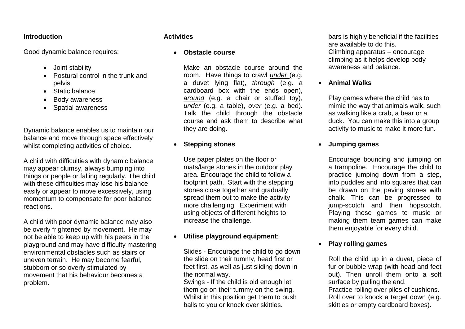Good dynamic balance requires:

- Joint stability
- Postural control in the trunk and pelvis
- Static balance
- Body awareness
- Spatial awareness

Dynamic balance enables us to maintain our balance and move through space effectively whilst completing activities of choice.

A child with difficulties with dynamic balance may appear clumsy, always bumping into things or people or falling regularly. The child with these difficulties may lose his balance easily or appear to move excessively, using momentum to compensate for poor balance reactions.

A child with poor dynamic balance may also be overly frightened by movement. He may not be able to keep up with his peers in the playground and may have difficulty mastering environmental obstacles such as stairs or uneven terrain. He may become fearful, stubborn or so overly stimulated by movement that his behaviour becomes a problem.

#### **Activities**

#### **Obstacle course**

Make an obstacle course around the room. Have things to crawl *under* (e.g. a duvet lying flat), *through* (e.g. a cardboard box with the ends open), *around* (e.g. a chair or stuffed toy), *under* (e.g. a table), *over* (e.g. a bed). Talk the child through the obstacle course and ask them to describe what they are doing.

#### **Stepping stones**

Use paper plates on the floor or mats/large stones in the outdoor play area. Encourage the child to follow a footprint path. Start with the stepping stones close together and gradually spread them out to make the activity more challenging. Experiment with using objects of different heights to increase the challenge.

### **Utilise playground equipment**:

Slides - Encourage the child to go down the slide on their tummy, head first or feet first, as well as just sliding down in the normal way.

Swings - If the child is old enough let them go on their tummy on the swing. Whilst in this position get them to push balls to you or knock over skittles.

bars is highly beneficial if the facilities are available to do this. Climbing apparatus – encourage climbing as it helps develop body awareness and balance.

**Animal Walks**

Play games where the child has to mimic the way that animals walk, such as walking like a crab, a bear or a duck. You can make this into a group activity to music to make it more fun.

#### **Jumping games**

Encourage bouncing and jumping on a trampoline. Encourage the child to practice jumping down from a step, into puddles and into squares that can be drawn on the paving stones with chalk. This can be progressed to jump-scotch and then hopscotch. Playing these games to music or making them team games can make them enjoyable for every child.

#### **Play rolling games**

Roll the child up in a duvet, piece of fur or bubble wrap (with head and feet out). Then unroll them onto a soft surface by pulling the end.

Practice rolling over piles of cushions. Roll over to knock a target down (e.g. skittles or empty cardboard boxes).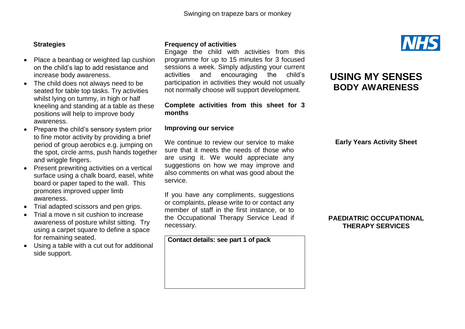#### **Strategies**

- Place a beanbag or weighted lap cushion on the child's lap to add resistance and increase body awareness.
- The child does not always need to be seated for table top tasks. Try activities whilst lying on tummy, in high or half kneeling and standing at a table as these positions will help to improve body awareness.
- Prepare the child's sensory system prior to fine motor activity by providing a brief period of group aerobics e.g. jumping on the spot, circle arms, push hands together and wriggle fingers.
- Present prewriting activities on a vertical surface using a chalk board, easel, white board or paper taped to the wall. This promotes improved upper limb awareness.
- Trial adapted scissors and pen grips.
- Trial a move n sit cushion to increase awareness of posture whilst sitting. Try using a carpet square to define a space for remaining seated.
- Using a table with a cut out for additional side support.

#### **Frequency of activities**

Engage the child with activities from this programme for up to 15 minutes for 3 focused sessions a week. Simply adjusting your current activities and encouraging the child's participation in activities they would not usually not normally choose will support development.

#### **Complete activities from this sheet for 3 months**

#### **Improving our service**

We continue to review our service to make sure that it meets the needs of those who are using it. We would appreciate any suggestions on how we may improve and also comments on what was good about the service.

If you have any compliments, suggestions or complaints, please write to or contact any member of staff in the first instance, or to the Occupational Therapy Service Lead if necessary.

**Contact details: see part 1 of pack**



## **USING MY SENSES BODY AWARENESS**

**Early Years Activity Sheet**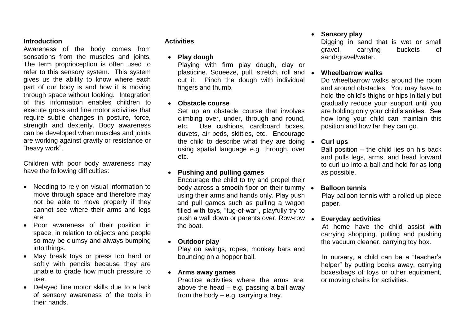Awareness of the body comes from sensations from the muscles and joints. The term proprioception is often used to refer to this sensory system. This system gives us the ability to know where each part of our body is and how it is moving through space without looking. Integration of this information enables children to execute gross and fine motor activities that require subtle changes in posture, force, strength and dexterity. Body awareness can be developed when muscles and joints are working against gravity or resistance or "heavy work".

Children with poor body awareness may have the following difficulties:

- Needing to rely on visual information to move through space and therefore may not be able to move properly if they cannot see where their arms and legs are.
- Poor awareness of their position in space, in relation to objects and people so may be clumsy and always bumping into things.
- May break toys or press too hard or softly with pencils because they are unable to grade how much pressure to use.
- Delayed fine motor skills due to a lack of sensory awareness of the tools in their hands.

#### **Activities**

**Play dough**

Playing with firm play dough, clay or plasticine. Squeeze, pull, stretch, roll and cut it. Pinch the dough with individual fingers and thumb.

#### **Obstacle course**

Set up an obstacle course that involves climbing over, under, through and round, etc. Use cushions, cardboard boxes, duvets, air beds, skittles, etc. Encourage the child to describe what they are doing  $\bullet$ using spatial language e.g. through, over etc.

#### **Pushing and pulling games**

Encourage the child to try and propel their body across a smooth floor on their tummy  $\bullet$ using their arms and hands only. Play push and pull games such as pulling a wagon filled with toys, "tug-of-war", playfully try to push a wall down or parents over. Row-row the boat.

#### **Outdoor play**

Play on swings, ropes, monkey bars and bouncing on a hopper ball.

#### **Arms away games**

Practice activities where the arms are: above the head  $-$  e.g. passing a ball away from the body – e.g. carrying a tray.

#### **Sensory play**

Digging in sand that is wet or small gravel, carrying buckets of sand/gravel/water.

#### **Wheelbarrow walks**

Do wheelbarrow walks around the room and around obstacles. You may have to hold the child's thighs or hips initially but gradually reduce your support until you are holding only your child's ankles. See how long your child can maintain this position and how far they can go.

#### **Curl ups**

Ball position – the child lies on his back and pulls legs, arms, and head forward to curl up into a ball and hold for as long as possible.

#### **Balloon tennis**

 Play balloon tennis with a rolled up piece paper.

#### **Everyday activities**

 At home have the child assist with carrying shopping, pulling and pushing the vacuum cleaner, carrying toy box.

 In nursery, a child can be a "teacher's helper" by putting books away, carrying boxes/bags of toys or other equipment, or moving chairs for activities.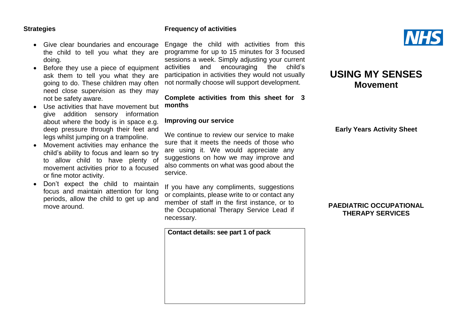#### **Strategies**

#### **Frequency of activities**

- Give clear boundaries and encourage the child to tell you what they are doing.
- Before they use a piece of equipment ask them to tell you what they are going to do. These children may often need close supervision as they may not be safety aware.
- Use activities that have movement but give addition sensory information about where the body is in space e.g. deep pressure through their feet and legs whilst jumping on a trampoline.
- Movement activities may enhance the child's ability to focus and learn so try to allow child to have plenty of movement activities prior to a focused or fine motor activity.
- Don't expect the child to maintain focus and maintain attention for long periods, allow the child to get up and move around.

Engage the child with activities from this programme for up to 15 minutes for 3 focused sessions a week. Simply adjusting your current activities and encouraging the child's participation in activities they would not usually not normally choose will support development.

**Complete activities from this sheet for 3 months**

#### **Improving our service**

We continue to review our service to make sure that it meets the needs of those who are using it. We would appreciate any suggestions on how we may improve and also comments on what was good about the service.

If you have any compliments, suggestions or complaints, please write to or contact any member of staff in the first instance, or to the Occupational Therapy Service Lead if necessary.

**Contact details: see part 1 of pack**



## **USING MY SENSES Movement**

**Early Years Activity Sheet**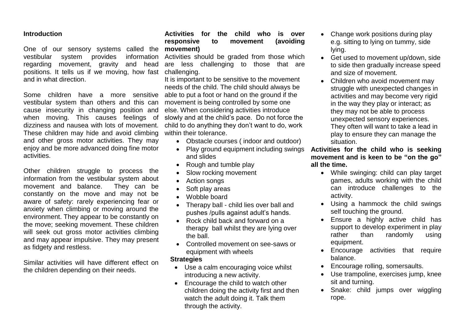One of our sensory systems called the **movement)** vestibular system provides regarding movement, gravity and head positions. It tells us if we moving, how fast challenging. and in what direction.

Some children have a more sensitive vestibular system than others and this can cause insecurity in changing position and when moving. This causes feelings of dizziness and nausea with lots of movement. These children may hide and avoid climbing and other gross motor activities. They may enjoy and be more advanced doing fine motor activities.

Other children struggle to process the information from the vestibular system about movement and balance. They can be constantly on the move and may not be aware of safety: rarely experiencing fear or anxiety when climbing or moving around the environment. They appear to be constantly on the move; seeking movement. These children will seek out gross motor activities climbing and may appear impulsive. They may present as fidgety and restless.

Similar activities will have different effect on the children depending on their needs.

## **Activities for the child who is over responsive to movement (avoiding**

information Activities should be graded from those which are less challenging to those that are

> It is important to be sensitive to the movement needs of the child. The child should always be able to put a foot or hand on the ground if the movement is being controlled by some one else. When considering activities introduce slowly and at the child's pace. Do not force the child to do anything they don't want to do, work within their tolerance.

- Obstacle courses ( indoor and outdoor)
- Play ground equipment including swings and slides
- Rough and tumble play
- Slow rocking movement
- Action songs
- Soft play areas
- Wobble board
- Therapy ball child lies over ball and pushes /pulls against adult's hands.
- Rock child back and forward on a therapy ball whilst they are lying over the ball.
- Controlled movement on see-saws or equipment with wheels

#### **Strategies**

- Use a calm encouraging voice whilst introducing a new activity.
- Encourage the child to watch other children doing the activity first and then watch the adult doing it. Talk them through the activity.
- Change work positions during play e.g. sitting to lying on tummy, side lying.
- Get used to movement up/down, side to side then gradually increase speed and size of movement.
- Children who avoid movement may struggle with unexpected changes in activities and may become very rigid in the way they play or interact; as they may not be able to process unexpected sensory experiences. They often will want to take a lead in play to ensure they can manage the situation.

**Activities for the child who is seeking movement and is keen to be "on the go" all the time.**

- While swinging: child can play target games, adults working with the child can introduce challenges to the activity.
- Using a hammock the child swings self touching the ground.
- Ensure a highly active child has support to develop experiment in play rather than randomly using equipment.
- Encourage activities that require balance.
- Encourage rolling, somersaults.
- Use trampoline, exercises jump, knee sit and turning.
- Snake: child jumps over wiggling rope.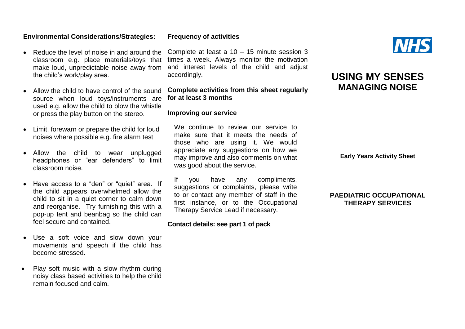#### **Environmental Considerations/Strategies:**

- Reduce the level of noise in and around the classroom e.g. place materials/toys that make loud, unpredictable noise away from the child's work/play area.
- Allow the child to have control of the sound source when loud toys/instruments are used e.g. allow the child to blow the whistle or press the play button on the stereo.
- Limit, forewarn or prepare the child for loud noises where possible e.g. fire alarm test
- Allow the child to wear unplugged headphones or "ear defenders" to limit classroom noise.
- Have access to a "den" or "quiet" area. If the child appears overwhelmed allow the child to sit in a quiet corner to calm down and reorganise. Try furnishing this with a pop-up tent and beanbag so the child can feel secure and contained.
- Use a soft voice and slow down your movements and speech if the child has become stressed.
- Play soft music with a slow rhythm during noisy class based activities to help the child remain focused and calm.

Complete at least a 10 – 15 minute session 3 times a week. Always monitor the motivation and interest levels of the child and adjust accordingly.

#### **Complete activities from this sheet regularly for at least 3 months**

#### **Improving our service**

We continue to review our service to make sure that it meets the needs of those who are using it. We would appreciate any suggestions on how we may improve and also comments on what was good about the service.

If you have any compliments, suggestions or complaints, please write to or contact any member of staff in the first instance, or to the Occupational Therapy Service Lead if necessary.

#### **Contact details: see part 1 of pack**



**Early Years Activity Sheet**

#### **PAEDIATRIC OCCUPATIONAL THERAPY SERVICES**



#### **Frequency of activities**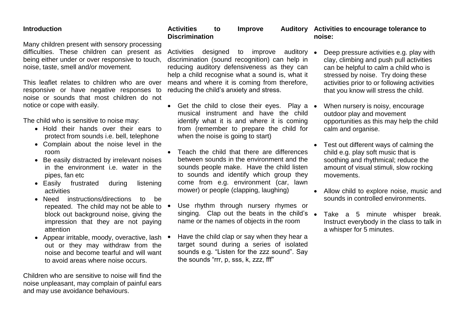Many children present with sensory processing difficulties. These children can present as being either under or over responsive to touch, noise, taste, smell and/or movement.

This leaflet relates to children who are over responsive or have negative responses to noise or sounds that most children do not notice or cope with easily.

The child who is sensitive to noise may:

- Hold their hands over their ears to protect from sounds i.e. bell, telephone
- Complain about the noise level in the room
- Be easily distracted by irrelevant noises in the environment i.e. water in the pipes, fan etc
- Easily frustrated during listening activities
- Need instructions/directions to be repeated. The child may not be able to  $\bullet$ block out background noise, giving the impression that they are not paying attention
- Appear irritable, moody, overactive, lash out or they may withdraw from the noise and become tearful and will want to avoid areas where noise occurs.

Children who are sensitive to noise will find the noise unpleasant, may complain of painful ears and may use avoidance behaviours.

#### **Activities to Improve Auditory Activities to encourage tolerance to Discrimination noise:**

Activities designed to improve auditory • discrimination (sound recognition) can help in reducing auditory defensiveness as they can help a child recognise what a sound is, what it means and where it is coming from therefore, reducing the child's anxiety and stress.

- Get the child to close their eyes. Play a musical instrument and have the child identify what it is and where it is coming from (remember to prepare the child for when the noise is going to start)
- Teach the child that there are differences between sounds in the environment and the sounds people make. Have the child listen to sounds and identify which group they come from e.g. environment (car, lawn mower) or people (clapping, laughing)
- Use rhythm through nursery rhymes or singing. Clap out the beats in the child's • name or the names of objects in the room
- Have the child clap or say when they hear a target sound during a series of isolated sounds e.g. "Listen for the zzz sound". Say the sounds "rrr, p, sss, k, zzz, fff"
- Deep pressure activities e.g. play with clay, climbing and push pull activities can be helpful to calm a child who is stressed by noise. Try doing these activities prior to or following activities that you know will stress the child.
- When nursery is noisy, encourage outdoor play and movement opportunities as this may help the child calm and organise.
- Test out different ways of calming the child e.g. play soft music that is soothing and rhythmical; reduce the amount of visual stimuli, slow rocking movements.
- Allow child to explore noise, music and sounds in controlled environments.
- Take a 5 minute whisper break. Instruct everybody in the class to talk in a whisper for 5 minutes.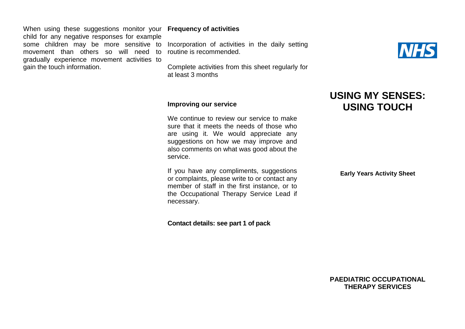When using these suggestions monitor your **Frequency of activities** child for any negative responses for example movement than others so will need to routine is recommended. gradually experience movement activities to gain the touch information.

some children may be more sensitive to Incorporation of activities in the daily setting

Complete activities from this sheet regularly for at least 3 months



## **USING MY SENSES: USING TOUCH**

#### **Improving our service**

We continue to review our service to make sure that it meets the needs of those who are using it. We would appreciate any suggestions on how we may improve and also comments on what was good about the service.

If you have any compliments, suggestions or complaints, please write to or contact any member of staff in the first instance, or to the Occupational Therapy Service Lead if necessary.

**Contact details: see part 1 of pack**

**Early Years Activity Sheet**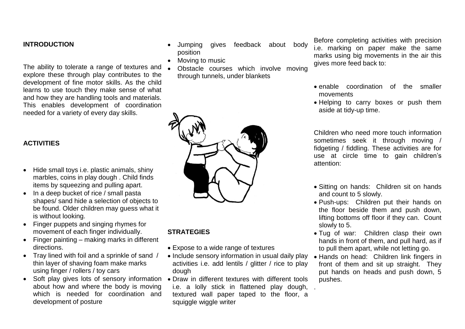#### **INTRODUCTION**

The ability to tolerate a range of textures and explore these through play contributes to the development of fine motor skills. As the child learns to use touch they make sense of what and how they are handling tools and materials. This enables development of coordination needed for a variety of every day skills.

#### **ACTIVITIES**

- Hide small toys i.e. plastic animals, shiny marbles, coins in play dough . Child finds items by squeezing and pulling apart.
- In a deep bucket of rice / small pasta shapes/ sand hide a selection of objects to be found. Older children may guess what it is without looking.
- Finger puppets and singing rhymes for movement of each finger individually.
- Finger painting making marks in different directions.
- Tray lined with foil and a sprinkle of sand / thin layer of shaving foam make marks using finger / rollers / toy cars
- Soft play gives lots of sensory information Draw in different textures with different tools about how and where the body is moving which is needed for coordination and development of posture
- Jumping gives feedback about body position
- Moving to music
- Obstacle courses which involve moving through tunnels, under blankets



#### **STRATEGIES**

- Expose to a wide range of textures
- Include sensory information in usual daily play activities i.e. add lentils / glitter / rice to play dough
- i.e. a lolly stick in flattened play dough, .textured wall paper taped to the floor, a squiggle wiggle writer

Before completing activities with precision i.e. marking on paper make the same marks using big movements in the air this gives more feed back to:

- enable coordination of the smaller movements
- Helping to carry boxes or push them aside at tidy-up time.

Children who need more touch information sometimes seek it through moving / fidgeting / fiddling. These activities are for use at circle time to gain children's attention:

- Sitting on hands: Children sit on hands and count to 5 slowly.
- Push-ups: Children put their hands on the floor beside them and push down, lifting bottoms off floor if they can. Count slowly to 5.
- Tug of war: Children clasp their own hands in front of them, and pull hard, as if to pull them apart, while not letting go.
- Hands on head: Children link fingers in front of them and sit up straight. They put hands on heads and push down, 5 pushes.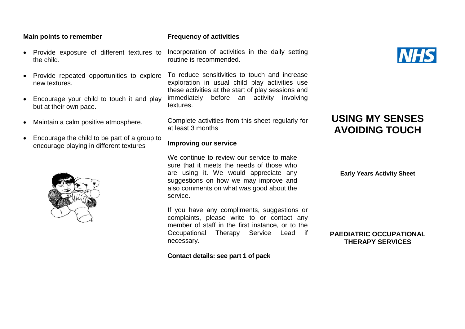#### **Main points to remember**

- Provide exposure of different textures to the child.
- Provide repeated opportunities to explore new textures.
- Encourage your child to touch it and play but at their own pace.
- Maintain a calm positive atmosphere.
- Encourage the child to be part of a group to encourage playing in different textures



#### **Frequency of activities**

Incorporation of activities in the daily setting routine is recommended.

To reduce sensitivities to touch and increase exploration in usual child play activities use these activities at the start of play sessions and immediately before an activity involving textures.

Complete activities from this sheet regularly for at least 3 months

#### **Improving our service**

We continue to review our service to make sure that it meets the needs of those who are using it. We would appreciate any suggestions on how we may improve and also comments on what was good about the service.

If you have any compliments, suggestions or complaints, please write to or contact any member of staff in the first instance, or to the Occupational Therapy Service Lead if necessary.

**Contact details: see part 1 of pack**



## **USING MY SENSES AVOIDING TOUCH**

**Early Years Activity Sheet**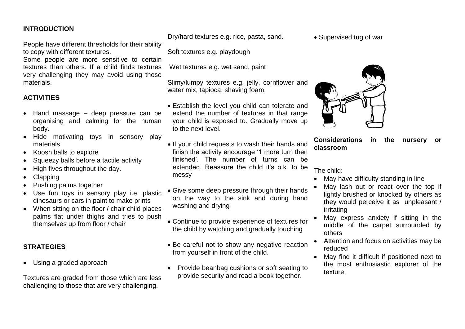#### **INTRODUCTION**

People have different thresholds for their ability to copy with different textures.

Some people are more sensitive to certain textures than others. If a child finds textures very challenging they may avoid using those materials.

#### **ACTIVITIES**

- Hand massage deep pressure can be organising and calming for the human body.
- Hide motivating toys in sensory play materials
- Koosh balls to explore
- Squeezy balls before a tactile activity
- High fives throughout the day.
- Clapping
- Pushing palms together
- Use fun toys in sensory play i.e. plastic dinosaurs or cars in paint to make prints
- When sitting on the floor / chair child places palms flat under thighs and tries to push themselves up from floor / chair

#### **STRATEGIES**

Using a graded approach

Textures are graded from those which are less challenging to those that are very challenging.

Dry/hard textures e.g. rice, pasta, sand.

Soft textures e.g. playdough

Wet textures e.g. wet sand, paint

Slimy/lumpy textures e.g. jelly, cornflower and water mix, tapioca, shaving foam.

- Establish the level you child can tolerate and extend the number of textures in that range your child is exposed to. Gradually move up to the next level.
- If your child requests to wash their hands and finish the activity encourage '1 more turn then finished'. The number of turns can be extended. Reassure the child it's o.k. to be messy
- Give some deep pressure through their hands on the way to the sink and during hand washing and drying
- Continue to provide experience of textures for the child by watching and gradually touching
- Be careful not to show any negative reaction from yourself in front of the child.
- Provide beanbag cushions or soft seating to provide security and read a book together.

• Supervised tug of war



**Considerations in the nursery or classroom**

The child:

- May have difficulty standing in line
- May lash out or react over the top if lightly brushed or knocked by others as they would perceive it as unpleasant / irritating
- May express anxiety if sitting in the middle of the carpet surrounded by others
- Attention and focus on activities may be reduced
- May find it difficult if positioned next to the most enthusiastic explorer of the texture.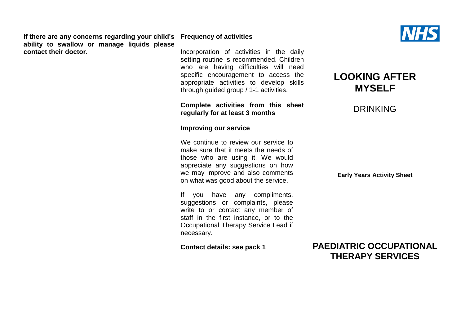**If there are any concerns regarding your child's Frequency of activities ability to swallow or manage liquids please contact their doctor.**

Incorporation of activities in the daily setting routine is recommended. Children who are having difficulties will need specific encouragement to access the appropriate activities to develop skills through guided group / 1-1 activities.

#### **Complete activities from this sheet regularly for at least 3 months**

**Improving our service**

We continue to review our service to make sure that it meets the needs of those who are using it. We would appreciate any suggestions on how we may improve and also comments on what was good about the service.

If you have any compliments, suggestions or complaints, please write to or contact any member of staff in the first instance, or to the Occupational Therapy Service Lead if necessary.

**Contact details: see pack 1**

## **LOOKING AFTER MYSELF**

### DRINKING

**Early Years Activity Sheet**

![](_page_36_Picture_12.jpeg)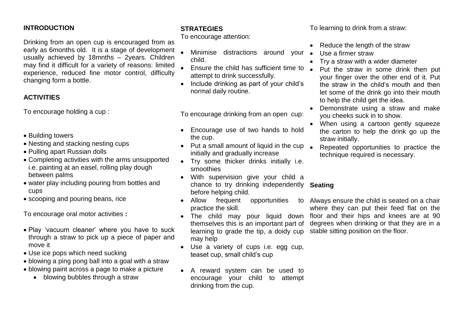#### **INTRODUCTION**

Drinking from an open cup is encouraged from as early as 6months old. It is a stage of development usually achieved by 18mnths – 2years. Children may find it difficult for a variety of reasons: limited experience, reduced fine motor control, difficulty changing form a bottle.

### **ACTIVITIES**

To encourage holding a cup :

- Building towers
- Nesting and stacking nesting cups
- Pulling apart Russian dolls
- Completing activities with the arms unsupported i.e. painting at an easel, rolling play dough between palms
- water play including pouring from bottles and cups
- scooping and pouring beans, rice

To encourage oral motor activities **:** 

- Play 'vacuum cleaner' where you have to suck through a straw to pick up a piece of paper and move it
- Use ice pops which need sucking
- blowing a ping pong ball into a goal with a straw
- blowing paint across a page to make a picture
	- blowing bubbles through a straw

## **STRATEGIES**

To encourage attention:

- Minimise distractions around your  $\bullet$ child.
- Ensure the child has sufficient time to attempt to drink successfully.
- Include drinking as part of your child's normal daily routine.

To encourage drinking from an open cup:

- Encourage use of two hands to hold the cup.
- $\bullet$  Put a small amount of liquid in the cup initially and gradually increase
- Try some thicker drinks initially i.e. smoothies
- With supervision give your child a chance to try drinking independently **Seating**  before helping child.
- Allow frequent opportunities practice the skill.
- The child may pour liquid down themselves this is an important part of learning to grade the tip, a doidy cup stable sitting position on the floor.may help
- Use a variety of cups i.e. egg cup, teaset cup, small child's cup
- A reward system can be used to encourage your child to attempt drinking from the cup.

To learning to drink from a straw:

- Reduce the length of the straw
- Use a firmer straw
- Try a straw with a wider diameter
- Put the straw in some drink then put your finger over the other end of it. Put the straw in the child's mouth and then let some of the drink go into their mouth to help the child get the idea.
- Demonstrate using a straw and make you cheeks suck in to show.
- When using a cartoon gently squeeze the carton to help the drink go up the straw initially.
- Repeated opportunities to practice the technique required is necessary.

Always ensure the child is seated on a chair where they can put their feed flat on the floor and their hips and knees are at 90 degrees when drinking or that they are in a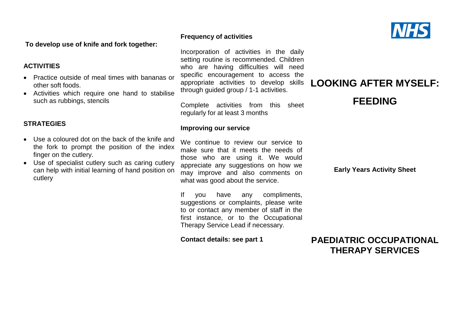**To develop use of knife and fork together:**

#### **ACTIVITIES**

- Practice outside of meal times with bananas or other soft foods.
- Activities which require one hand to stabilise such as rubbings, stencils

#### **STRATEGIES**

- Use a coloured dot on the back of the knife and the fork to prompt the position of the index finger on the cutlery.
- Use of specialist cutlery such as caring cutlery can help with initial learning of hand position on cutlery

#### **Frequency of activities**

Incorporation of activities in the daily setting routine is recommended. Children who are having difficulties will need specific encouragement to access the appropriate activities to develop skills through guided group / 1-1 activities.

Complete activities from this sheet regularly for at least 3 months

#### **Improving our service**

We continue to review our service to make sure that it meets the needs of those who are using it. We would appreciate any suggestions on how we may improve and also comments on what was good about the service.

If you have any compliments, suggestions or complaints, please write to or contact any member of staff in the first instance, or to the Occupational Therapy Service Lead if necessary.

**Contact details: see part 1**

**Early Years Activity Sheet**

**LOOKING AFTER MYSELF:**

**FEEDING**

![](_page_38_Picture_16.jpeg)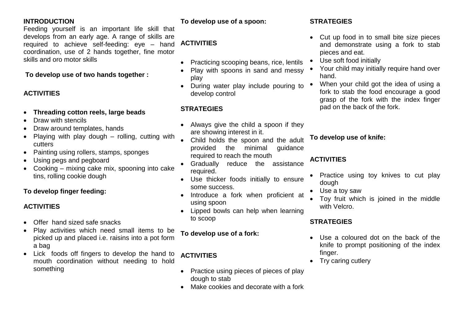### **INTRODUCTION**

Feeding yourself is an important life skill that develops from an early age. A range of skills are required to achieve self-feeding: eye – hand **ACTIVITIES** coordination, use of 2 hands together, fine motor skills and oro motor skills

### **To develop use of two hands together :**

### **ACTIVITIES**

- **Threading cotton reels, large beads**
- Draw with stencils
- Draw around templates, hands
- Playing with play dough rolling, cutting with cutters
- Painting using rollers, stamps, sponges
- Using pegs and pegboard
- Cooking mixing cake mix, spooning into cake tins, rolling cookie dough

### **To develop finger feeding:**

### **ACTIVITIES**

- Offer hand sized safe snacks
- Play activities which need small items to be picked up and placed i.e. raisins into a pot form a bag
- Lick foods off fingers to develop the hand to mouth coordination without needing to hold something

**To develop use of a spoon:**

- Practicing scooping beans, rice, lentils
- Play with spoons in sand and messy play
- During water play include pouring to develop control

### **STRATEGIES**

- Always give the child a spoon if they are showing interest in it.
- Child holds the spoon and the adult provided the minimal guidance required to reach the mouth
- Gradually reduce the assistance required.
- Use thicker foods initially to ensure some success.
- Introduce a fork when proficient at using spoon
- Lipped bowls can help when learning to scoop

### **To develop use of a fork:**

## **ACTIVITIES**

- Practice using pieces of pieces of play dough to stab
- Make cookies and decorate with a fork

### **STRATEGIES**

- Cut up food in to small bite size pieces and demonstrate using a fork to stab pieces and eat.
- Use soft food initially
- Your child may initially require hand over hand.
- When your child got the idea of using a fork to stab the food encourage a good grasp of the fork with the index finger pad on the back of the fork.

### **To develop use of knife:**

### **ACTIVITIES**

- Practice using toy knives to cut play dough
- Use a toy saw
- Toy fruit which is joined in the middle with Velcro.

### **STRATEGIES**

- Use a coloured dot on the back of the knife to prompt positioning of the index finger.
- Try caring cutlery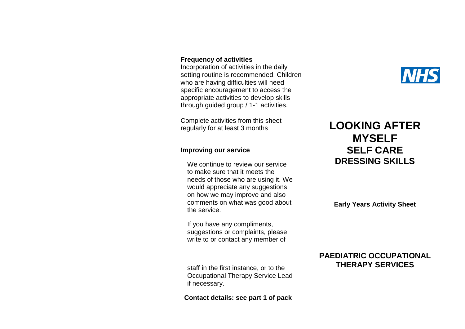#### **Frequency of activities**

Incorporation of activities in the daily setting routine is recommended. Children who are having difficulties will need specific encouragement to access the appropriate activities to develop skills through guided group / 1-1 activities.

Complete activities from this sheet regularly for at least 3 months

#### **Improving our service**

We continue to review our service to make sure that it meets the needs of those who are using it. We would appreciate any suggestions on how we may improve and also comments on what was good about the service.

If you have any compliments, suggestions or complaints, please write to or contact any member of

staff in the first instance, or to the Occupational Therapy Service Lead if necessary.

**Contact details: see part 1 of pack**

# **NHS**

## **LOOKING AFTER MYSELF SELF CARE DRESSING SKILLS**

**Early Years Activity Sheet**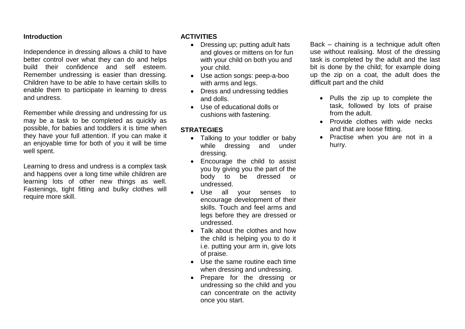Independence in dressing allows a child to have better control over what they can do and helps build their confidence and self esteem. Remember undressing is easier than dressing. Children have to be able to have certain skills to enable them to participate in learning to dress and undress.

Remember while dressing and undressing for us may be a task to be completed as quickly as possible, for babies and toddlers it is time when they have your full attention. If you can make it an enjoyable time for both of you it will be time well spent.

Learning to dress and undress is a complex task and happens over a long time while children are learning lots of other new things as well. Fastenings, tight fitting and bulky clothes will require more skill.

#### **ACTIVITIES**

- Dressing up; putting adult hats and gloves or mittens on for fun with your child on both you and your child.
- Use action songs: peep-a-boo with arms and legs.
- Dress and undressing teddies and dolls.
- Use of educational dolls or cushions with fastening.

#### **STRATEGIES**

- Talking to your toddler or baby while dressing and under dressing.
- Encourage the child to assist you by giving you the part of the body to be dressed or undressed.
- Use all your senses to encourage development of their skills. Touch and feel arms and legs before they are dressed or undressed.
- Talk about the clothes and how the child is helping you to do it i.e. putting your arm in, give lots of praise.
- Use the same routine each time when dressing and undressing.
- Prepare for the dressing or undressing so the child and you can concentrate on the activity once you start.

Back – chaining is a technique adult often use without realising. Most of the dressing task is completed by the adult and the last bit is done by the child; for example doing up the zip on a coat, the adult does the difficult part and the child

- Pulls the zip up to complete the task, followed by lots of praise from the adult.
- Provide clothes with wide necks and that are loose fitting.
- Practise when you are not in a hurry.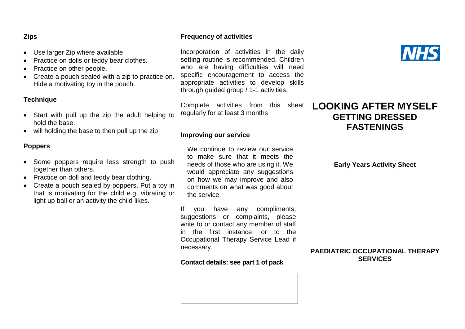#### **Zips**

- Use larger Zip where available
- Practice on dolls or teddy bear clothes.
- Practice on other people.
- Create a pouch sealed with a zip to practice on. Hide a motivating toy in the pouch.

#### **Technique**

- Start with pull up the zip the adult helping to hold the base.
- will holding the base to then pull up the zip

#### **Poppers**

- Some poppers require less strength to push together than others.
- Practice on doll and teddy bear clothing.
- Create a pouch sealed by poppers. Put a toy in that is motivating for the child e.g. vibrating or light up ball or an activity the child likes.

#### **Frequency of activities**

Incorporation of activities in the daily setting routine is recommended. Children who are having difficulties will need specific encouragement to access the appropriate activities to develop skills through guided group / 1-1 activities.

Complete activities from this sheet regularly for at least 3 months

#### **Improving our service**

We continue to review our service to make sure that it meets the needs of those who are using it. We would appreciate any suggestions on how we may improve and also comments on what was good about the service.

If you have any compliments, suggestions or complaints, please write to or contact any member of staff in the first instance, or to the Occupational Therapy Service Lead if necessary.

**Contact details: see part 1 of pack**

![](_page_42_Picture_19.jpeg)

## **LOOKING AFTER MYSELF GETTING DRESSED FASTENINGS**

**Early Years Activity Sheet**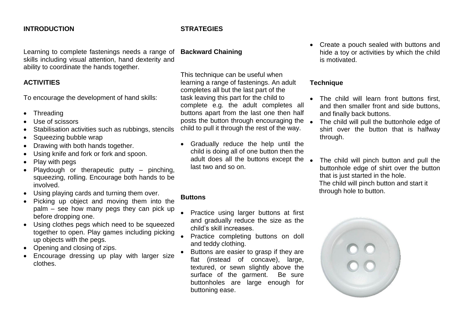#### **INTRODUCTION**

Learning to complete fastenings needs a range of skills including visual attention, hand dexterity and ability to coordinate the hands together.

#### **ACTIVITIES**

To encourage the development of hand skills:

- Threading
- Use of scissors
- Stabilisation activities such as rubbings, stencils
- Squeezing bubble wrap
- Drawing with both hands together.
- Using knife and fork or fork and spoon.
- Play with pegs
- Playdough or therapeutic putty pinching, squeezing, rolling. Encourage both hands to be involved.
- Using playing cards and turning them over.
- Picking up object and moving them into the palm – see how many pegs they can pick up before dropping one.
- Using clothes pegs which need to be squeezed together to open. Play games including picking up objects with the pegs.
- Opening and closing of zips.
- Encourage dressing up play with larger size clothes.

#### **STRATEGIES**

#### **Backward Chaining**

This technique can be useful when learning a range of fastenings. An adult completes all but the last part of the task leaving this part for the child to complete e.g. the adult completes all buttons apart from the last one then half posts the button through encouraging the  $\bullet$ child to pull it through the rest of the way.

 Gradually reduce the help until the child is doing all of one button then the adult does all the buttons except the  $\bullet$ last two and so on.

#### **Buttons**

- Practice using larger buttons at first and gradually reduce the size as the child's skill increases.
- Practice completing buttons on doll and teddy clothing.
- Buttons are easier to grasp if they are flat (instead of concave), large, textured, or sewn slightly above the surface of the garment. Be sure buttonholes are large enough for buttoning ease.

• Create a pouch sealed with buttons and hide a toy or activities by which the child is motivated.

#### **Technique**

- The child will learn front buttons first, and then smaller front and side buttons, and finally back buttons.
- The child will pull the buttonhole edge of shirt over the button that is halfway through.
- The child will pinch button and pull the buttonhole edge of shirt over the button that is just started in the hole. The child will pinch button and start it through hole to button.

![](_page_43_Picture_30.jpeg)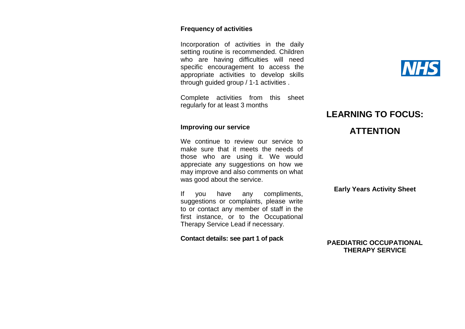#### **Frequency of activities**

Incorporation of activities in the daily setting routine is recommended. Children who are having difficulties will need specific encouragement to access the appropriate activities to develop skills through guided group / 1-1 activities .

Complete activities from this sheet regularly for at least 3 months

#### **Improving our service**

We continue to review our service to make sure that it meets the needs of those who are using it. We would appreciate any suggestions on how we may improve and also comments on what was good about the service.

If you have any compliments, suggestions or complaints, please write to or contact any member of staff in the first instance, or to the Occupational Therapy Service Lead if necessary.

**Contact details: see part 1 of pack**

## **LEARNING TO FOCUS:**

## **ATTENTION**

#### **Early Years Activity Sheet**

![](_page_44_Picture_11.jpeg)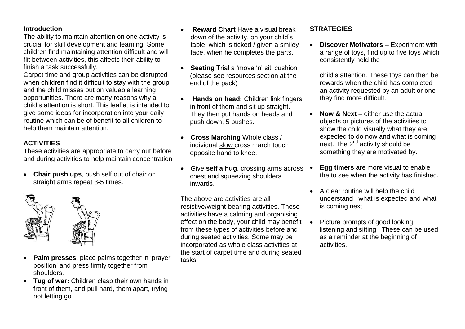The ability to maintain attention on one activity is crucial for skill development and learning. Some children find maintaining attention difficult and will flit between activities, this affects their ability to finish a task successfully.

Carpet time and group activities can be disrupted when children find it difficult to stay with the group and the child misses out on valuable learning opportunities. There are many reasons why a child's attention is short. This leaflet is intended to give some ideas for incorporation into your daily routine which can be of benefit to all children to help them maintain attention.

### **ACTIVITIES**

These activities are appropriate to carry out before and during activities to help maintain concentration

 **Chair push ups**, push self out of chair on straight arms repeat 3-5 times.

![](_page_45_Picture_6.jpeg)

- **Palm presses**, place palms together in 'prayer position' and press firmly together from shoulders.
- **Tug of war:** Children clasp their own hands in front of them, and pull hard, them apart, trying not letting go
- **Reward Chart** Have a visual break down of the activity, on your child's table, which is ticked / given a smiley face, when he completes the parts.
- **Seating** Trial a 'move 'n' sit' cushion (please see resources section at the end of the pack)
- **Hands on head:** Children link fingers in front of them and sit up straight. They then put hands on heads and push down, 5 pushes.
- **Cross Marching** Whole class / individual slow cross march touch opposite hand to knee.
- Give **self a hug**, crossing arms across chest and squeezing shoulders inwards.

The above are activities are all resistive/weight-bearing activities. These activities have a calming and organising effect on the body, your child may benefit from these types of activities before and during seated activities. Some may be incorporated as whole class activities at the start of carpet time and during seated tasks.

#### **STRATEGIES**

 **Discover Motivators –** Experiment with a range of toys, find up to five toys which consistently hold the

child's attention. These toys can then be rewards when the child has completed an activity requested by an adult or one they find more difficult.

- **Now & Next –** either use the actual objects or pictures of the activities to show the child visually what they are expected to do now and what is coming next. The 2<sup>nd</sup> activity should be something they are motivated by.
- **Egg timers** are more visual to enable the to see when the activity has finished.
- A clear routine will help the child understand what is expected and what is coming next
- Picture prompts of good looking. listening and sitting . These can be used as a reminder at the beginning of activities.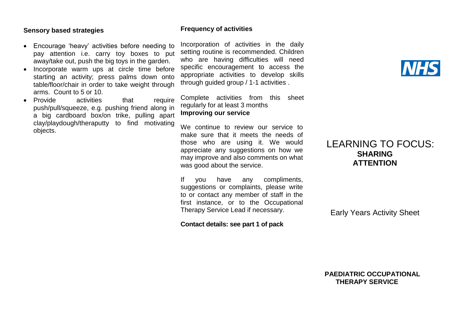#### **Sensory based strategies**

- Encourage 'heavy' activities before needing to pay attention i.e. carry toy boxes to put away/take out, push the big toys in the garden.
- Incorporate warm ups at circle time before starting an activity; press palms down onto table/floor/chair in order to take weight through arms. Count to 5 or 10.
- Provide activities that require push/pull/squeeze, e.g. pushing friend along in a big cardboard box/on trike, pulling apart clay/playdough/theraputty to find motivating objects.

#### **Frequency of activities**

Incorporation of activities in the daily setting routine is recommended. Children who are having difficulties will need specific encouragement to access the appropriate activities to develop skills through guided group / 1-1 activities .

Complete activities from this sheet regularly for at least 3 months **Improving our service**

We continue to review our service to make sure that it meets the needs of those who are using it. We would appreciate any suggestions on how we may improve and also comments on what was good about the service.

If you have any compliments, suggestions or complaints, please write to or contact any member of staff in the first instance, or to the Occupational Therapy Service Lead if necessary.

**Contact details: see part 1 of pack**

## LEARNING TO FOCUS: **SHARING ATTENTION**

Early Years Activity Sheet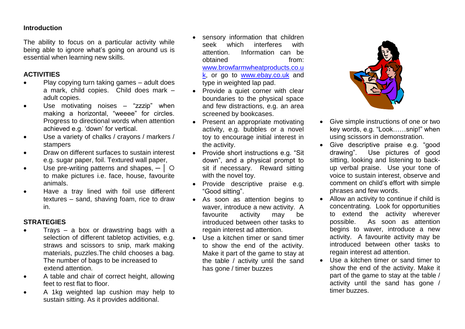The ability to focus on a particular activity while being able to ignore what's going on around us is essential when learning new skills.

#### **ACTIVITIES**

- Play copying turn taking games adult does a mark, child copies. Child does mark – adult copies.
- Use motivating noises "zzzip" when making a horizontal, "weeee" for circles. Progress to directional words when attention achieved e.g. 'down' for vertical.
- Use a variety of chalks / crayons / markers / stampers
- Draw on different surfaces to sustain interest e.g. sugar paper, foil. Textured wall paper,
- $\bullet$  Use pre-writing patterns and shapes,  $-$  |  $\circ$ to make pictures i.e. face, house, favourite animals.
- Have a tray lined with foil use different textures – sand, shaving foam, rice to draw in.

#### **STRATEGIES**

- Trays a box or drawstring bags with a selection of different tabletop activities, e.g. straws and scissors to snip, mark making materials, puzzles.The child chooses a bag. The number of bags to be increased to extend attention.
- A table and chair of correct height, allowing feet to rest flat to floor.
- A 1kg weighted lap cushion may help to sustain sitting. As it provides additional.
- sensory information that children seek which interferes with attention. Information can be obtained from: [www.browfarmwheatproducts.co.u](http://www.browfarmwheatproducts.co.uk/) [k,](http://www.browfarmwheatproducts.co.uk/) or go to [www.ebay.co.uk](http://www.ebay.co.uk/) and type in weighted lap pad.
- Provide a quiet corner with clear boundaries to the physical space and few distractions, e.g. an area screened by bookcases.
- Present an appropriate motivating activity, e.g. bubbles or a novel toy to encourage initial interest in the activity.
- Provide short instructions e.g. "Sit down", and a physical prompt to sit if necessary. Reward sitting with the novel toy.
- Provide descriptive praise e.g. "Good sitting".
- As soon as attention begins to waver, introduce a new activity. A favourite activity may be introduced between other tasks to regain interest ad attention.
- Use a kitchen timer or sand timer to show the end of the activity. Make it part of the game to stay at the table / activity until the sand has gone / timer buzzes

![](_page_47_Picture_20.jpeg)

- Give simple instructions of one or two key words, e.g. "Look……snip!" when using scissors in demonstration.
- Give descriptive praise e.g. "good drawing". Use pictures of good sitting, looking and listening to backup verbal praise. Use your tone of voice to sustain interest, observe and comment on child's effort with simple phrases and few words.
- Allow an activity to continue if child is concentrating. Look for opportunities to extend the activity wherever possible. As soon as attention begins to waver, introduce a new activity. A favourite activity may be introduced between other tasks to regain interest ad attention.
- Use a kitchen timer or sand timer to show the end of the activity. Make it part of the game to stay at the table / activity until the sand has gone / timer buzzes.